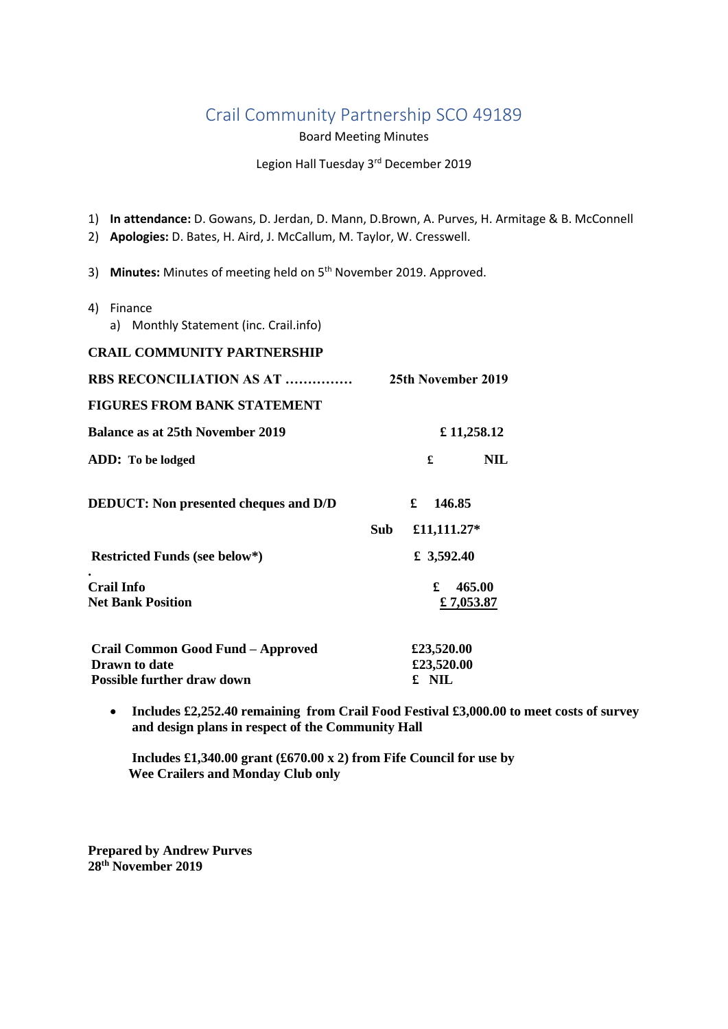# Crail Community Partnership SCO 49189

Board Meeting Minutes

Legion Hall Tuesday 3<sup>rd</sup> December 2019

1) **In attendance:** D. Gowans, D. Jerdan, D. Mann, D.Brown, A. Purves, H. Armitage & B. McConnell

- 2) **Apologies:** D. Bates, H. Aird, J. McCallum, M. Taylor, W. Cresswell.
- 3) Minutes: Minutes of meeting held on 5<sup>th</sup> November 2019. Approved.
- 4) Finance
	- a) Monthly Statement (inc. Crail.info)

#### **CRAIL COMMUNITY PARTNERSHIP**

| <b>RBS RECONCILIATION AS AT </b>             | 25th November 2019 |
|----------------------------------------------|--------------------|
| <b>FIGURES FROM BANK STATEMENT</b>           |                    |
| <b>Balance as at 25th November 2019</b>      | £ 11,258.12        |
| ADD: To be lodged                            | £<br>NIL           |
| <b>DEDUCT:</b> Non presented cheques and D/D | £<br>146.85        |
|                                              | Sub<br>£11,111.27* |
| <b>Restricted Funds (see below*)</b>         | £ 3,592.40         |
| Crail Info                                   | £<br>465.00        |
| <b>Net Bank Position</b>                     | £7,053.87          |
| Crail Common Good Fund - Approved            | £23,520.00         |
| <b>Drawn</b> to date                         | £23,520.00         |
| Possible further draw down                   | £ NIL              |

 **Includes £2,252.40 remaining from Crail Food Festival £3,000.00 to meet costs of survey and design plans in respect of the Community Hall** 

**Includes £1,340.00 grant (£670.00 x 2) from Fife Council for use by Wee Crailers and Monday Club only** 

**Prepared by Andrew Purves 28th November 2019**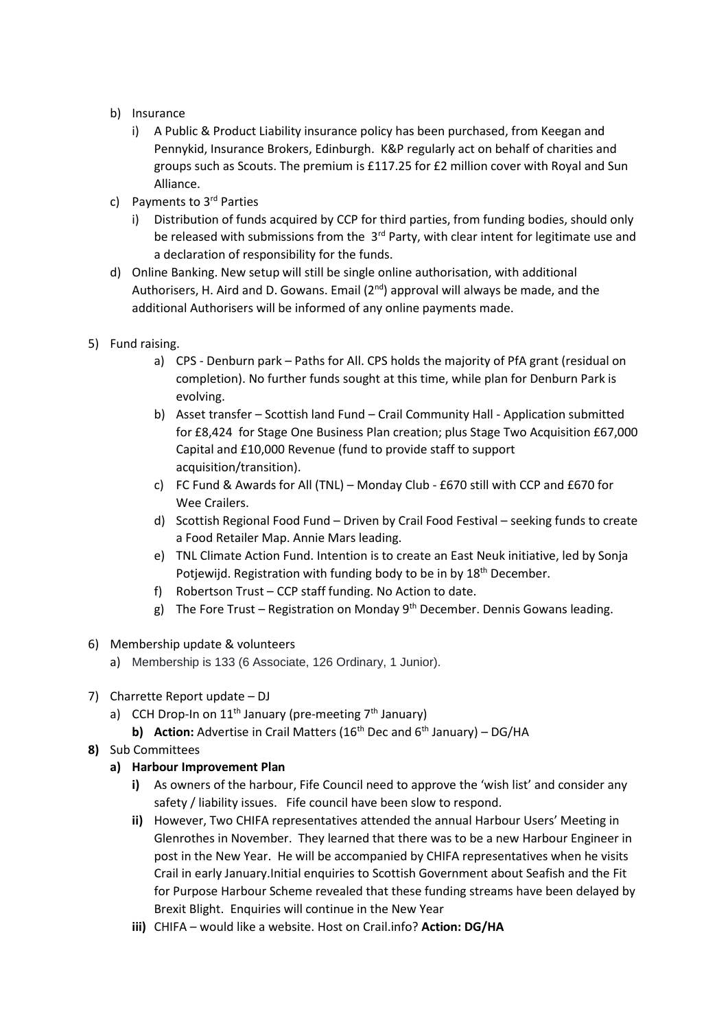- b) Insurance
	- i) A Public & Product Liability insurance policy has been purchased, from Keegan and Pennykid, Insurance Brokers, Edinburgh. K&P regularly act on behalf of charities and groups such as Scouts. The premium is £117.25 for £2 million cover with Royal and Sun Alliance.
- c) Payments to 3rd Parties
	- i) Distribution of funds acquired by CCP for third parties, from funding bodies, should only be released with submissions from the  $3<sup>rd</sup>$  Party, with clear intent for legitimate use and a declaration of responsibility for the funds.
- d) Online Banking. New setup will still be single online authorisation, with additional Authorisers, H. Aird and D. Gowans. Email  $(2^{nd})$  approval will always be made, and the additional Authorisers will be informed of any online payments made.
- 5) Fund raising.
	- a) CPS Denburn park Paths for All. CPS holds the majority of PfA grant (residual on completion). No further funds sought at this time, while plan for Denburn Park is evolving.
	- b) Asset transfer Scottish land Fund Crail Community Hall Application submitted for £8,424 for Stage One Business Plan creation; plus Stage Two Acquisition £67,000 Capital and £10,000 Revenue (fund to provide staff to support acquisition/transition).
	- c) FC Fund & Awards for All (TNL) Monday Club £670 still with CCP and £670 for Wee Crailers.
	- d) Scottish Regional Food Fund Driven by Crail Food Festival seeking funds to create a Food Retailer Map. Annie Mars leading.
	- e) TNL Climate Action Fund. Intention is to create an East Neuk initiative, led by Sonja Potjewijd. Registration with funding body to be in by 18<sup>th</sup> December.
	- f) Robertson Trust CCP staff funding. No Action to date.
	- g) The Fore Trust Registration on Monday  $9<sup>th</sup>$  December. Dennis Gowans leading.
- 6) Membership update & volunteers
	- a) Membership is 133 (6 Associate, 126 Ordinary, 1 Junior).
- 7) Charrette Report update DJ
	- a) CCH Drop-In on  $11<sup>th</sup>$  January (pre-meeting  $7<sup>th</sup>$  January)
		- **b) Action:** Advertise in Crail Matters ( $16<sup>th</sup>$  Dec and  $6<sup>th</sup>$  January) DG/HA
- **8)** Sub Committees

# **a) Harbour Improvement Plan**

- **i)** As owners of the harbour, Fife Council need to approve the 'wish list' and consider any safety / liability issues. Fife council have been slow to respond.
- **ii)** However, Two CHIFA representatives attended the annual Harbour Users' Meeting in Glenrothes in November. They learned that there was to be a new Harbour Engineer in post in the New Year. He will be accompanied by CHIFA representatives when he visits Crail in early January.Initial enquiries to Scottish Government about Seafish and the Fit for Purpose Harbour Scheme revealed that these funding streams have been delayed by Brexit Blight. Enquiries will continue in the New Year
- **iii)** CHIFA would like a website. Host on Crail.info? **Action: DG/HA**